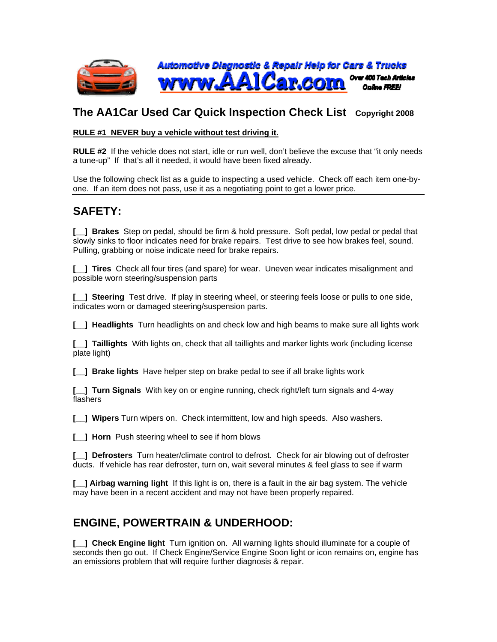

## **The AA1Car Used Car Quick Inspection Check List Copyright 2008**

#### **RULE #1 NEVER buy a vehicle without test driving it.**

**RULE #2** If the vehicle does not start, idle or run well, don't believe the excuse that "it only needs a tune-up" If that's all it needed, it would have been fixed already.

Use the following check list as a guide to inspecting a used vehicle. Check off each item one-byone. If an item does not pass, use it as a negotiating point to get a lower price.

# **SAFETY:**

**[\_\_] Brakes** Step on pedal, should be firm & hold pressure. Soft pedal, low pedal or pedal that slowly sinks to floor indicates need for brake repairs. Test drive to see how brakes feel, sound. Pulling, grabbing or noise indicate need for brake repairs.

**[\_\_] Tires** Check all four tires (and spare) for wear. Uneven wear indicates misalignment and possible worn steering/suspension parts

**[\_\_] Steering** Test drive. If play in steering wheel, or steering feels loose or pulls to one side, indicates worn or damaged steering/suspension parts.

**[\_\_] Headlights** Turn headlights on and check low and high beams to make sure all lights work

**[\_\_] Taillights** With lights on, check that all taillights and marker lights work (including license plate light)

**[\_\_] Brake lights** Have helper step on brake pedal to see if all brake lights work

**[\_\_] Turn Signals** With key on or engine running, check right/left turn signals and 4-way flashers

**[\_\_] Wipers** Turn wipers on. Check intermittent, low and high speeds. Also washers.

**[** ] Horn Push steering wheel to see if horn blows

**[\_\_] Defrosters** Turn heater/climate control to defrost. Check for air blowing out of defroster ducts. If vehicle has rear defroster, turn on, wait several minutes & feel glass to see if warm

**[\_\_] Airbag warning light** If this light is on, there is a fault in the air bag system. The vehicle may have been in a recent accident and may not have been properly repaired.

## **ENGINE, POWERTRAIN & UNDERHOOD:**

**[\_\_] Check Engine light** Turn ignition on. All warning lights should illuminate for a couple of seconds then go out. If Check Engine/Service Engine Soon light or icon remains on, engine has an emissions problem that will require further diagnosis & repair.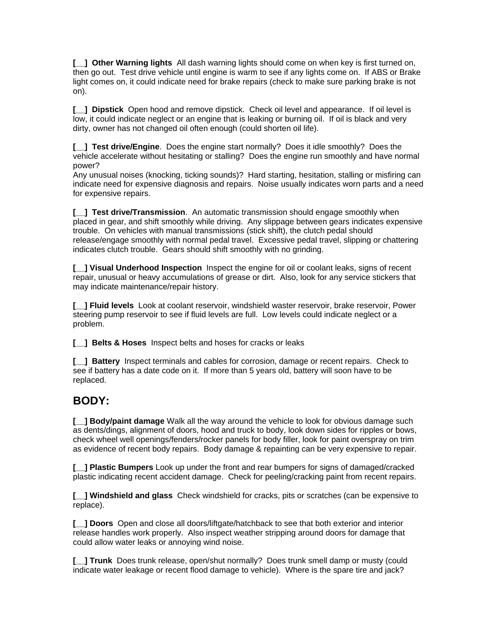**[**  $\Box$  **] Other Warning lights** All dash warning lights should come on when key is first turned on, then go out. Test drive vehicle until engine is warm to see if any lights come on. If ABS or Brake light comes on, it could indicate need for brake repairs (check to make sure parking brake is not on).

**[\_\_] Dipstick** Open hood and remove dipstick. Check oil level and appearance. If oil level is low, it could indicate neglect or an engine that is leaking or burning oil. If oil is black and very dirty, owner has not changed oil often enough (could shorten oil life).

**[\_\_] Test drive/Engine**. Does the engine start normally? Does it idle smoothly? Does the vehicle accelerate without hesitating or stalling? Does the engine run smoothly and have normal power?

Any unusual noises (knocking, ticking sounds)? Hard starting, hesitation, stalling or misfiring can indicate need for expensive diagnosis and repairs. Noise usually indicates worn parts and a need for expensive repairs.

**[\_\_] Test drive/Transmission**. An automatic transmission should engage smoothly when placed in gear, and shift smoothly while driving. Any slippage between gears indicates expensive trouble. On vehicles with manual transmissions (stick shift), the clutch pedal should release/engage smoothly with normal pedal travel. Excessive pedal travel, slipping or chattering indicates clutch trouble. Gears should shift smoothly with no grinding.

**[\_\_] Visual Underhood Inspection** Inspect the engine for oil or coolant leaks, signs of recent repair, unusual or heavy accumulations of grease or dirt. Also, look for any service stickers that may indicate maintenance/repair history.

**[\_\_] Fluid levels** Look at coolant reservoir, windshield waster reservoir, brake reservoir, Power steering pump reservoir to see if fluid levels are full. Low levels could indicate neglect or a problem.

**[\_\_] Belts & Hoses** Inspect belts and hoses for cracks or leaks

**[\_\_] Battery** Inspect terminals and cables for corrosion, damage or recent repairs. Check to see if battery has a date code on it. If more than 5 years old, battery will soon have to be replaced.

## **BODY:**

**[\_\_] Body/paint damage** Walk all the way around the vehicle to look for obvious damage such as dents/dings, alignment of doors, hood and truck to body, look down sides for ripples or bows, check wheel well openings/fenders/rocker panels for body filler, look for paint overspray on trim as evidence of recent body repairs. Body damage & repainting can be very expensive to repair.

**[\_\_] Plastic Bumpers** Look up under the front and rear bumpers for signs of damaged/cracked plastic indicating recent accident damage. Check for peeling/cracking paint from recent repairs.

**[\_\_] Windshield and glass** Check windshield for cracks, pits or scratches (can be expensive to replace).

**[\_\_] Doors** Open and close all doors/liftgate/hatchback to see that both exterior and interior release handles work properly. Also inspect weather stripping around doors for damage that could allow water leaks or annoying wind noise.

**[\_\_] Trunk** Does trunk release, open/shut normally? Does trunk smell damp or musty (could indicate water leakage or recent flood damage to vehicle). Where is the spare tire and jack?